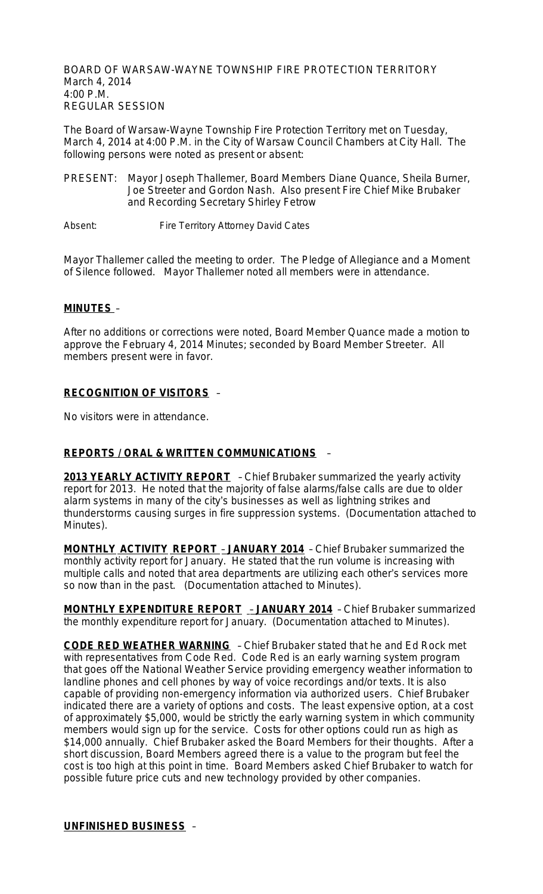BOARD OF WARSAW-WAYNE TOWNSHIP FIRE PROTECTION TERRITORY March 4, 2014 4:00 P.M. REGULAR SESSION

The Board of Warsaw-Wayne Township Fire Protection Territory met on Tuesday, March 4, 2014 at 4:00 P.M. in the City of Warsaw Council Chambers at City Hall. The following persons were noted as present or absent:

PRESENT: Mayor Joseph Thallemer, Board Members Diane Quance, Sheila Burner, Joe Streeter and Gordon Nash. Also present Fire Chief Mike Brubaker and Recording Secretary Shirley Fetrow

Absent: Fire Territory Attorney David Cates

Mayor Thallemer called the meeting to order. The Pledge of Allegiance and a Moment of Silence followed. Mayor Thallemer noted all members were in attendance.

#### **MINUTES** –

After no additions or corrections were noted, Board Member Quance made a motion to approve the February 4, 2014 Minutes; seconded by Board Member Streeter. All members present were in favor.

#### **RECOGNITION OF VISITORS** –

No visitors were in attendance.

#### **REPORTS / ORAL & WRITTEN COMMUNICATIONS** –

**2013 YEARLY ACTIVITY REPORT** - Chief Brubaker summarized the yearly activity report for 2013. He noted that the majority of false alarms/false calls are due to older alarm systems in many of the city's businesses as well as lightning strikes and thunderstorms causing surges in fire suppression systems. (Documentation attached to Minutes).

**MONTHLY ACTIVITY REPORT** – **JANUARY 2014** – Chief Brubaker summarized the monthly activity report for January. He stated that the run volume is increasing with multiple calls and noted that area departments are utilizing each other's services more so now than in the past. (Documentation attached to Minutes).

**MONTHLY EXPENDITURE REPORT** – **JANUARY 2014** – Chief Brubaker summarized the monthly expenditure report for January. (Documentation attached to Minutes).

**CODE RED WEATHER WARNING** – Chief Brubaker stated that he and Ed Rock met with representatives from Code Red. Code Red is an early warning system program that goes off the National Weather Service providing emergency weather information to landline phones and cell phones by way of voice recordings and/or texts. It is also capable of providing non-emergency information via authorized users. Chief Brubaker indicated there are a variety of options and costs. The least expensive option, at a cost of approximately \$5,000, would be strictly the early warning system in which community members would sign up for the service. Costs for other options could run as high as \$14,000 annually. Chief Brubaker asked the Board Members for their thoughts. After a short discussion, Board Members agreed there is a value to the program but feel the cost is too high at this point in time. Board Members asked Chief Brubaker to watch for possible future price cuts and new technology provided by other companies.

**UNFINISHED BUSINESS** –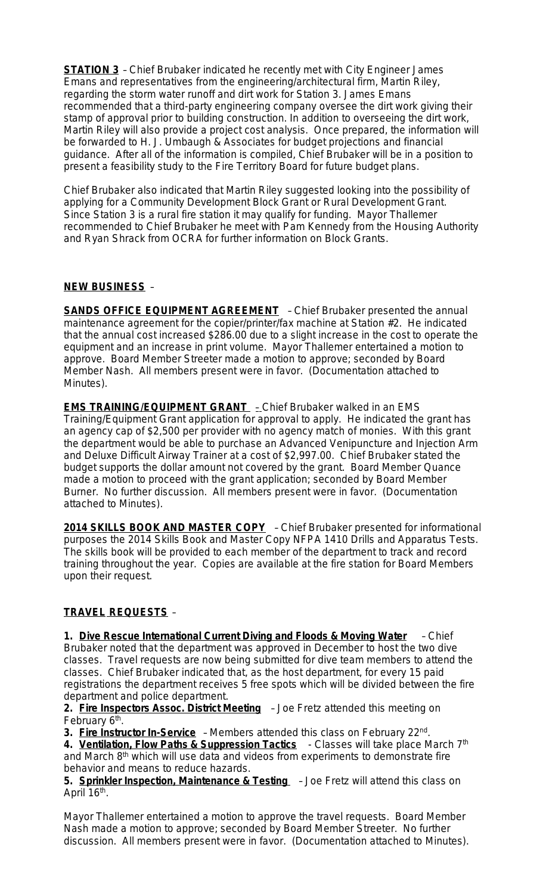**STATION 3** – Chief Brubaker indicated he recently met with City Engineer James Emans and representatives from the engineering/architectural firm, Martin Riley, regarding the storm water runoff and dirt work for Station 3. James Emans recommended that a third-party engineering company oversee the dirt work giving their stamp of approval prior to building construction. In addition to overseeing the dirt work, Martin Riley will also provide a project cost analysis. Once prepared, the information will be forwarded to H. J. Umbaugh & Associates for budget projections and financial guidance. After all of the information is compiled, Chief Brubaker will be in a position to present a feasibility study to the Fire Territory Board for future budget plans.

Chief Brubaker also indicated that Martin Riley suggested looking into the possibility of applying for a Community Development Block Grant or Rural Development Grant. Since Station 3 is a rural fire station it may qualify for funding. Mayor Thallemer recommended to Chief Brubaker he meet with Pam Kennedy from the Housing Authority and Ryan Shrack from OCRA for further information on Block Grants.

## **NEW BUSINESS** –

**SANDS OFFICE EQUIPMENT AGREEMENT** - Chief Brubaker presented the annual maintenance agreement for the copier/printer/fax machine at Station #2. He indicated that the annual cost increased \$286.00 due to a slight increase in the cost to operate the equipment and an increase in print volume. Mayor Thallemer entertained a motion to approve. Board Member Streeter made a motion to approve; seconded by Board Member Nash. All members present were in favor. (Documentation attached to Minutes).

**EMS TRAINING/EQUIPMENT GRANT** - Chief Brubaker walked in an EMS Training/Equipment Grant application for approval to apply. He indicated the grant has an agency cap of \$2,500 per provider with no agency match of monies. With this grant the department would be able to purchase an Advanced Venipuncture and Injection Arm and Deluxe Difficult Airway Trainer at a cost of \$2,997.00. Chief Brubaker stated the budget supports the dollar amount not covered by the grant. Board Member Quance made a motion to proceed with the grant application; seconded by Board Member Burner. No further discussion. All members present were in favor. (Documentation attached to Minutes).

**2014 SKILLS BOOK AND MASTER COPY** – Chief Brubaker presented for informational purposes the 2014 Skills Book and Master Copy NFPA 1410 Drills and Apparatus Tests. The skills book will be provided to each member of the department to track and record training throughout the year. Copies are available at the fire station for Board Members upon their request.

## **TRAVEL REQUESTS** –

**1. Dive Rescue International Current Diving and Floods & Moving Water** – Chief Brubaker noted that the department was approved in December to host the two dive classes. Travel requests are now being submitted for dive team members to attend the classes. Chief Brubaker indicated that, as the host department, for every 15 paid registrations the department receives 5 free spots which will be divided between the fire department and police department.

**2. Fire Inspectors Assoc. District Meeting** – Joe Fretz attended this meeting on February 6<sup>th</sup>.

3. Fire Instructor In-Service - Members attended this class on February 22<sup>nd</sup>.

4. Ventilation, Flow Paths & Suppression Tactics - Classes will take place March 7<sup>th</sup> and March 8<sup>th</sup> which will use data and videos from experiments to demonstrate fire behavior and means to reduce hazards.

**5. Sprinkler Inspection, Maintenance & Testing** – Joe Fretz will attend this class on April 16<sup>th</sup>.

Mayor Thallemer entertained a motion to approve the travel requests. Board Member Nash made a motion to approve; seconded by Board Member Streeter. No further discussion. All members present were in favor. (Documentation attached to Minutes).